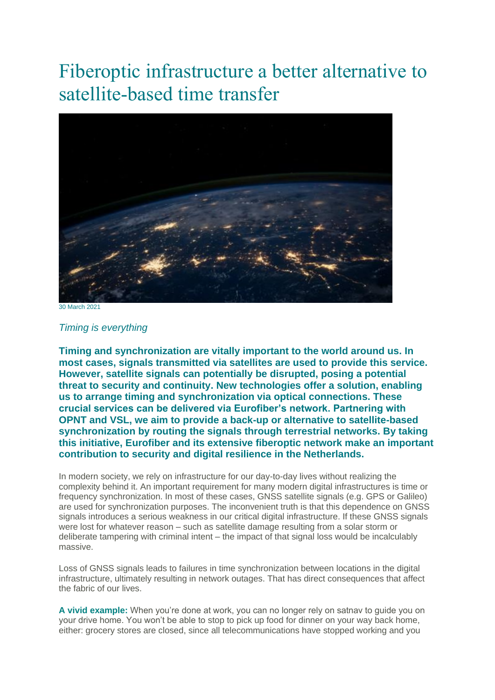## Fiberoptic infrastructure a better alternative to satellite-based time transfer



30 March 2021

## *Timing is everything*

**Timing and synchronization are vitally important to the world around us. In most cases, signals transmitted via satellites are used to provide this service. However, satellite signals can potentially be disrupted, posing a potential threat to security and continuity. New technologies offer a solution, enabling us to arrange timing and synchronization via optical connections. These crucial services can be delivered via Eurofiber's network. Partnering with OPNT and VSL, we aim to provide a back-up or alternative to satellite-based synchronization by routing the signals through terrestrial networks. By taking this initiative, Eurofiber and its extensive fiberoptic network make an important contribution to security and digital resilience in the Netherlands.**

In modern society, we rely on infrastructure for our day-to-day lives without realizing the complexity behind it. An important requirement for many modern digital infrastructures is time or frequency synchronization. In most of these cases, GNSS satellite signals (e.g. GPS or Galileo) are used for synchronization purposes. The inconvenient truth is that this dependence on GNSS signals introduces a serious weakness in our critical digital infrastructure. If these GNSS signals were lost for whatever reason – such as satellite damage resulting from a solar storm or deliberate tampering with criminal intent – the impact of that signal loss would be incalculably massive.

Loss of GNSS signals leads to failures in time synchronization between locations in the digital infrastructure, ultimately resulting in network outages. That has direct consequences that affect the fabric of our lives.

**A vivid example:** When you're done at work, you can no longer rely on satnav to guide you on your drive home. You won't be able to stop to pick up food for dinner on your way back home, either: grocery stores are closed, since all telecommunications have stopped working and you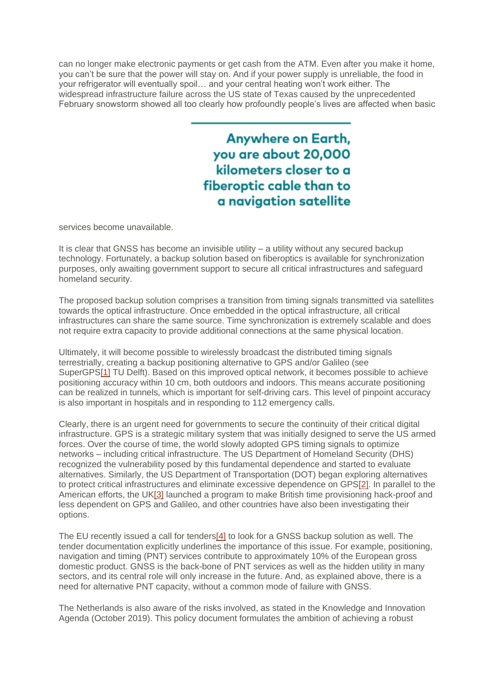can no longer make electronic payments or get cash from the ATM. Even after you make it home, you can't be sure that the power will stay on. And if your power supply is unreliable, the food in your refrigerator will eventually spoil… and your central heating won't work either. The widespread infrastructure failure across the US state of Texas caused by the unprecedented February snowstorm showed all too clearly how profoundly people's lives are affected when basic

> **Anywhere on Earth,** you are about 20,000 kilometers closer to a fiberoptic cable than to a navigation satellite

services become unavailable.

It is clear that GNSS has become an invisible utility – a utility without any secured backup technology. Fortunately, a backup solution based on fiberoptics is available for synchronization purposes, only awaiting government support to secure all critical infrastructures and safeguard homeland security.

The proposed backup solution comprises a transition from timing signals transmitted via satellites towards the optical infrastructure. Once embedded in the optical infrastructure, all critical infrastructures can share the same source. Time synchronization is extremely scalable and does not require extra capacity to provide additional connections at the same physical location.

Ultimately, it will become possible to wirelessly broadcast the distributed timing signals terrestrially, creating a backup positioning alternative to GPS and/or Galileo (see SuperGP[S\[1\]](https://www.eurofiber.nl/en/press/fiberoptic-infrastructure-a-better-alternative-to-satellite-based-time-transfer/#_ftn1) TU Delft). Based on this improved optical network, it becomes possible to achieve positioning accuracy within 10 cm, both outdoors and indoors. This means accurate positioning can be realized in tunnels, which is important for self-driving cars. This level of pinpoint accuracy is also important in hospitals and in responding to 112 emergency calls.

Clearly, there is an urgent need for governments to secure the continuity of their critical digital infrastructure. GPS is a strategic military system that was initially designed to serve the US armed forces. Over the course of time, the world slowly adopted GPS timing signals to optimize networks – including critical infrastructure. The US Department of Homeland Security (DHS) recognized the vulnerability posed by this fundamental dependence and started to evaluate alternatives. Similarly, the US Department of Transportation (DOT) began exploring alternatives to protect critical infrastructures and eliminate excessive dependence on GP[S\[2\].](https://www.eurofiber.nl/en/press/fiberoptic-infrastructure-a-better-alternative-to-satellite-based-time-transfer/#_ftn2) In parallel to the American efforts, the U[K\[3\]](https://www.eurofiber.nl/en/press/fiberoptic-infrastructure-a-better-alternative-to-satellite-based-time-transfer/#_ftn3) launched a program to make British time provisioning hack-proof and less dependent on GPS and Galileo, and other countries have also been investigating their options.

The EU recently issued a call for tender[s\[4\]](https://www.eurofiber.nl/en/press/fiberoptic-infrastructure-a-better-alternative-to-satellite-based-time-transfer/#_ftn4) to look for a GNSS backup solution as well. The tender documentation explicitly underlines the importance of this issue. For example, positioning, navigation and timing (PNT) services contribute to approximately 10% of the European gross domestic product. GNSS is the back-bone of PNT services as well as the hidden utility in many sectors, and its central role will only increase in the future. And, as explained above, there is a need for alternative PNT capacity, without a common mode of failure with GNSS.

The Netherlands is also aware of the risks involved, as stated in the Knowledge and Innovation Agenda (October 2019). This policy document formulates the ambition of achieving a robust